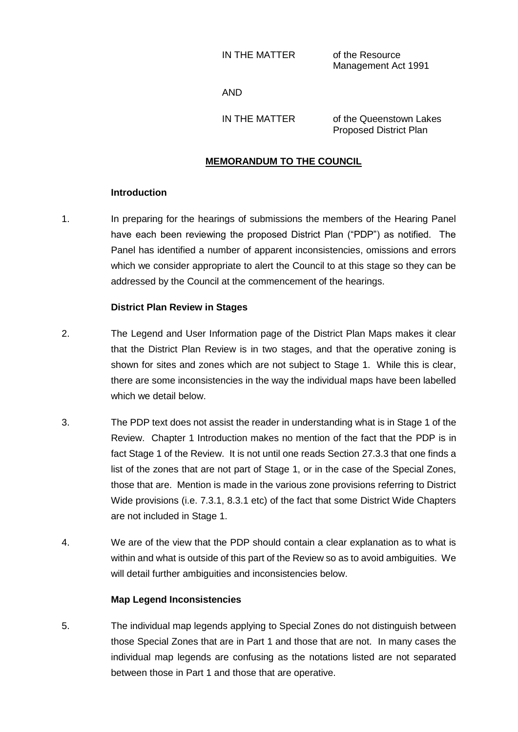IN THE MATTER of the Resource

Management Act 1991

AND

IN THE MATTER of the Queenstown Lakes Proposed District Plan

## **MEMORANDUM TO THE COUNCIL**

## **Introduction**

1. In preparing for the hearings of submissions the members of the Hearing Panel have each been reviewing the proposed District Plan ("PDP") as notified. The Panel has identified a number of apparent inconsistencies, omissions and errors which we consider appropriate to alert the Council to at this stage so they can be addressed by the Council at the commencement of the hearings.

### **District Plan Review in Stages**

- 2. The Legend and User Information page of the District Plan Maps makes it clear that the District Plan Review is in two stages, and that the operative zoning is shown for sites and zones which are not subject to Stage 1. While this is clear, there are some inconsistencies in the way the individual maps have been labelled which we detail below.
- 3. The PDP text does not assist the reader in understanding what is in Stage 1 of the Review. Chapter 1 Introduction makes no mention of the fact that the PDP is in fact Stage 1 of the Review. It is not until one reads Section 27.3.3 that one finds a list of the zones that are not part of Stage 1, or in the case of the Special Zones, those that are. Mention is made in the various zone provisions referring to District Wide provisions (i.e. 7.3.1, 8.3.1 etc) of the fact that some District Wide Chapters are not included in Stage 1.
- 4. We are of the view that the PDP should contain a clear explanation as to what is within and what is outside of this part of the Review so as to avoid ambiguities. We will detail further ambiguities and inconsistencies below.

## **Map Legend Inconsistencies**

5. The individual map legends applying to Special Zones do not distinguish between those Special Zones that are in Part 1 and those that are not. In many cases the individual map legends are confusing as the notations listed are not separated between those in Part 1 and those that are operative.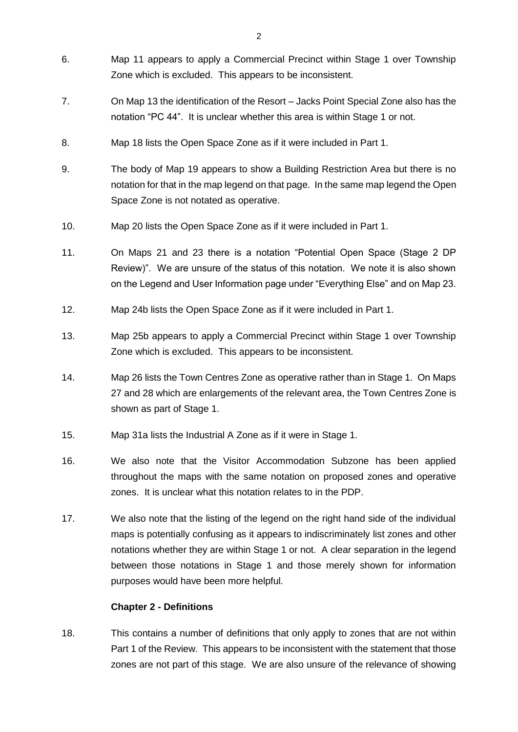- 6. Map 11 appears to apply a Commercial Precinct within Stage 1 over Township Zone which is excluded. This appears to be inconsistent.
- 7. On Map 13 the identification of the Resort Jacks Point Special Zone also has the notation "PC 44". It is unclear whether this area is within Stage 1 or not.
- 8. Map 18 lists the Open Space Zone as if it were included in Part 1.
- 9. The body of Map 19 appears to show a Building Restriction Area but there is no notation for that in the map legend on that page. In the same map legend the Open Space Zone is not notated as operative.
- 10. Map 20 lists the Open Space Zone as if it were included in Part 1.
- 11. On Maps 21 and 23 there is a notation "Potential Open Space (Stage 2 DP Review)". We are unsure of the status of this notation. We note it is also shown on the Legend and User Information page under "Everything Else" and on Map 23.
- 12. Map 24b lists the Open Space Zone as if it were included in Part 1.
- 13. Map 25b appears to apply a Commercial Precinct within Stage 1 over Township Zone which is excluded. This appears to be inconsistent.
- 14. Map 26 lists the Town Centres Zone as operative rather than in Stage 1. On Maps 27 and 28 which are enlargements of the relevant area, the Town Centres Zone is shown as part of Stage 1.
- 15. Map 31a lists the Industrial A Zone as if it were in Stage 1.
- 16. We also note that the Visitor Accommodation Subzone has been applied throughout the maps with the same notation on proposed zones and operative zones. It is unclear what this notation relates to in the PDP.
- 17. We also note that the listing of the legend on the right hand side of the individual maps is potentially confusing as it appears to indiscriminately list zones and other notations whether they are within Stage 1 or not. A clear separation in the legend between those notations in Stage 1 and those merely shown for information purposes would have been more helpful.

## **Chapter 2 - Definitions**

18. This contains a number of definitions that only apply to zones that are not within Part 1 of the Review. This appears to be inconsistent with the statement that those zones are not part of this stage. We are also unsure of the relevance of showing